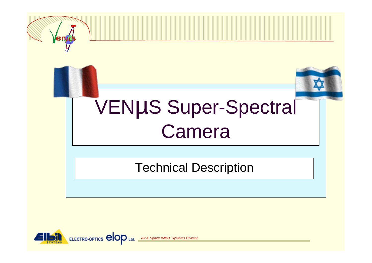

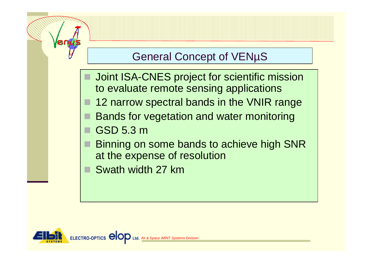#### General Concept of VENµS

- Joint ISA-CNES project for scientific mission to evaluate remote sensing applications
- 12 narrow spectral bands in the VNIR range
- Bands for vegetation and water monitoring
- GSD 5.3 m
- Binning on some bands to achieve high SNR at the expense of resolution
- Swath width 27 km

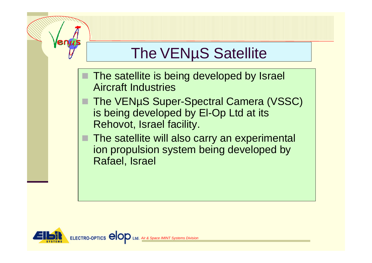# The VENµS Satellite

- The satellite is being developed by Israel Aircraft Industries
- The VENµS Super-Spectral Camera (VSSC) is being developed by El-Op Ltd at its Rehovot, Israel facility.
- The satellite will also carry an experimental ion propulsion system being developed by Rafael, Israel

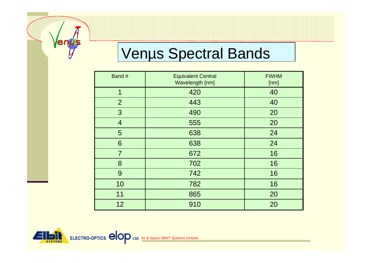# Venµs Spectral Bands

| Band #         | <b>Equivalent Central</b><br>Wavelength [nm] | <b>FWHM</b><br>[nm] |
|----------------|----------------------------------------------|---------------------|
| 1              | 420                                          | 40                  |
| $\overline{2}$ | 443                                          | 40                  |
| 3              | 490                                          | 20                  |
| $\overline{4}$ | 555                                          | 20                  |
| 5              | 638                                          | 24                  |
| 6              | 638                                          | 24                  |
| $\overline{7}$ | 672                                          | 16                  |
| 8              | 702                                          | 16                  |
| 9              | 742                                          | 16                  |
| 10             | 782                                          | 16                  |
| 11             | 865                                          | 20                  |
| 12             | 910                                          | 20                  |



 $\sqrt{$ en $\mu$ s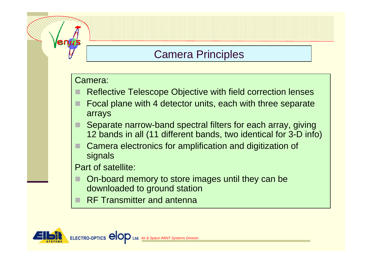#### Camera Principles

#### Camera:

- Reflective Telescope Objective with field correction lenses
- Focal plane with 4 detector units, each with three separate arrays
- Separate narrow-band spectral filters for each array, giving 12 bands in all (11 different bands, two identical for 3-D info)
- Camera electronics for amplification and digitization of signals

Part of satellite:

- On-board memory to store images until they can be downloaded to ground station
- RF Transmitter and antenna

ELECTRO-OPTICS<sup>C</sup> **Air & Space IMINT Systems Di**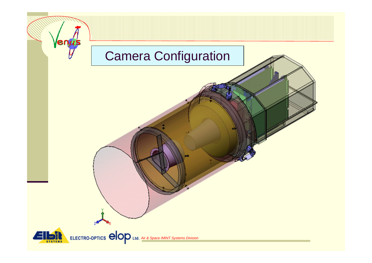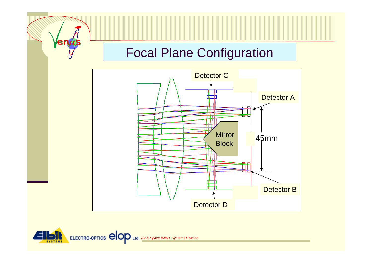### Focal Plane Configuration



**ELECTRO-OPTICS @OD Ltd.** Air & Space IMINT Systems Division  $\Box$ 

Venus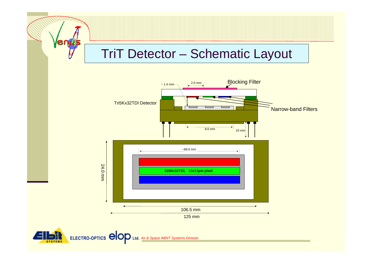### TriT Detector – Schematic Layout



**ELECTRO-OPTICS @OOD** Ltd. Air & Space IMINT Systems Division

enus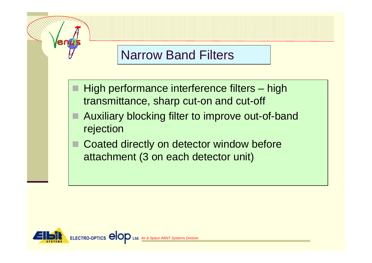#### Narrow Band Filters

- High performance interference filters high transmittance, sharp cut-on and cut-off
- Auxiliary blocking filter to improve out-of-band rejection
- Coated directly on detector window before attachment (3 on each detector unit)

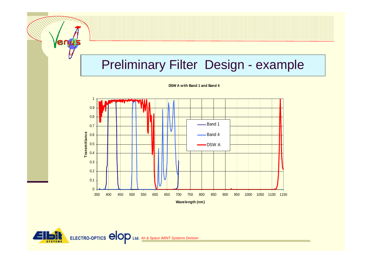## Preliminary Filter Design - example







Venus<br>V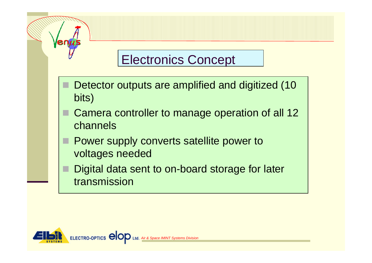### Electronics Concept

- Detector outputs are amplified and digitized (10 bits)
- Camera controller to manage operation of all 12 channels
- Power supply converts satellite power to voltages needed
- Digital data sent to on-board storage for later transmission

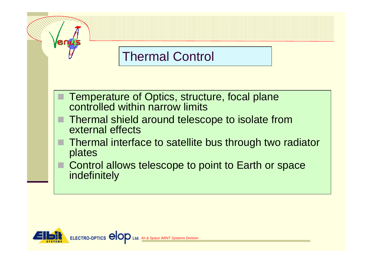## Thermal Control

- Temperature of Optics, structure, focal plane controlled within narrow limits
- Thermal shield around telescope to isolate from external effects
- Thermal interface to satellite bus through two radiator plates
- Control allows telescope to point to Earth or space indefinitely

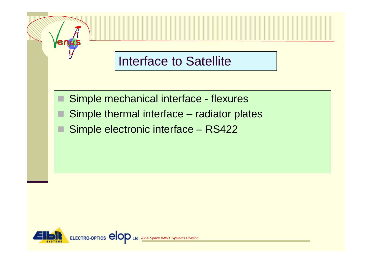